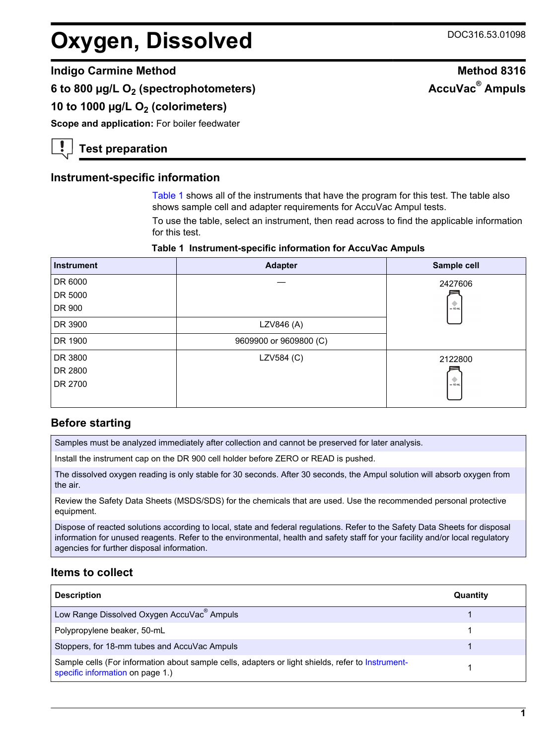## **Oxygen, Dissolved** DOC316.53.01098

## **Indigo Carmine Method Method 8316**

**6 to 800 µg/L O2 (spectrophotometers)**

## **10 to 1000 µg/L O2 (colorimeters)**

**Scope and application:** For boiler feedwater

**Test preparation**

## **Instrument-specific information**

[Table 1](#page-0-0) shows all of the instruments that have the program for this test. The table also shows sample cell and adapter requirements for AccuVac Ampul tests.

To use the table, select an instrument, then read across to find the applicable information for this test.

#### **Table 1 Instrument-specific information for AccuVac Ampuls**

<span id="page-0-1"></span><span id="page-0-0"></span>

| <b>Instrument</b> | <b>Adapter</b>         | Sample cell |
|-------------------|------------------------|-------------|
| DR 6000           |                        | 2427606     |
| DR 5000           |                        |             |
| DR 900            |                        | $-10$ ml    |
| DR 3900           | LZV846 (A)             |             |
| DR 1900           | 9609900 or 9609800 (C) |             |
| DR 3800           | LZV584 (C)             | 2122800     |
| DR 2800           |                        |             |
| DR 2700           |                        | $= 10$ mL   |
|                   |                        |             |

## **Before starting**

Samples must be analyzed immediately after collection and cannot be preserved for later analysis.

Install the instrument cap on the DR 900 cell holder before ZERO or READ is pushed.

The dissolved oxygen reading is only stable for 30 seconds. After 30 seconds, the Ampul solution will absorb oxygen from the air.

Review the Safety Data Sheets (MSDS/SDS) for the chemicals that are used. Use the recommended personal protective equipment.

Dispose of reacted solutions according to local, state and federal regulations. Refer to the Safety Data Sheets for disposal information for unused reagents. Refer to the environmental, health and safety staff for your facility and/or local regulatory agencies for further disposal information.

### **Items to collect**

| <b>Description</b>                                                                                                                    | Quantity |
|---------------------------------------------------------------------------------------------------------------------------------------|----------|
| Low Range Dissolved Oxygen AccuVac® Ampuls                                                                                            |          |
| Polypropylene beaker, 50-mL                                                                                                           |          |
| Stoppers, for 18-mm tubes and AccuVac Ampuls                                                                                          |          |
| Sample cells (For information about sample cells, adapters or light shields, refer to Instrument-<br>specific information on page 1.) |          |

# **AccuVac® Ampuls**

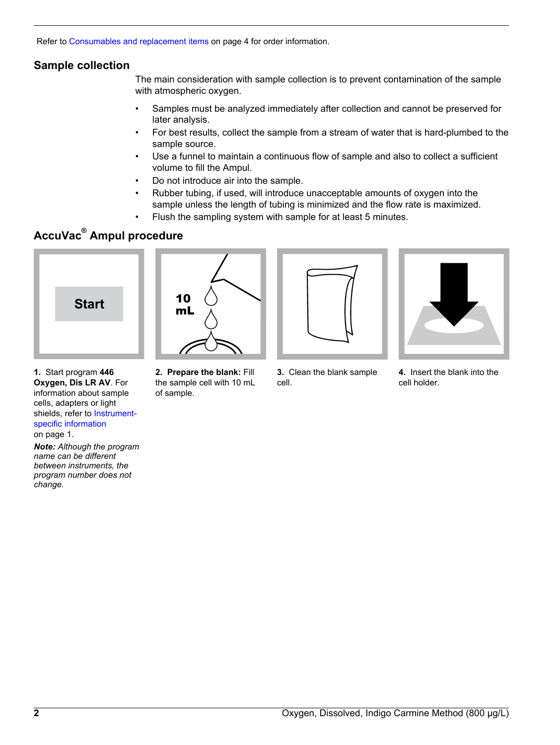Refer to [Consumables and replacement items](#page-3-0) on page 4 for order information.

## **Sample collection**

The main consideration with sample collection is to prevent contamination of the sample with atmospheric oxygen.

- Samples must be analyzed immediately after collection and cannot be preserved for later analysis.
- For best results, collect the sample from a stream of water that is hard-plumbed to the sample source.
- Use a funnel to maintain a continuous flow of sample and also to collect a sufficient volume to fill the Ampul.
- Do not introduce air into the sample.
- Rubber tubing, if used, will introduce unacceptable amounts of oxygen into the sample unless the length of tubing is minimized and the flow rate is maximized.
- Flush the sampling system with sample for at least 5 minutes.

## **AccuVac® Ampul procedure**

<span id="page-1-0"></span>

**1.** Start program **446 Oxygen, Dis LR AV**. For information about sample cells, adapters or light shields, refer to [Instrument](#page-0-1)[specific information](#page-0-1) on page 1.

*Note: Although the program name can be different between instruments, the program number does not change.*



**2. Prepare the blank:** Fill the sample cell with 10 mL

of sample.



**3.** Clean the blank sample cell.



**4.** Insert the blank into the cell holder.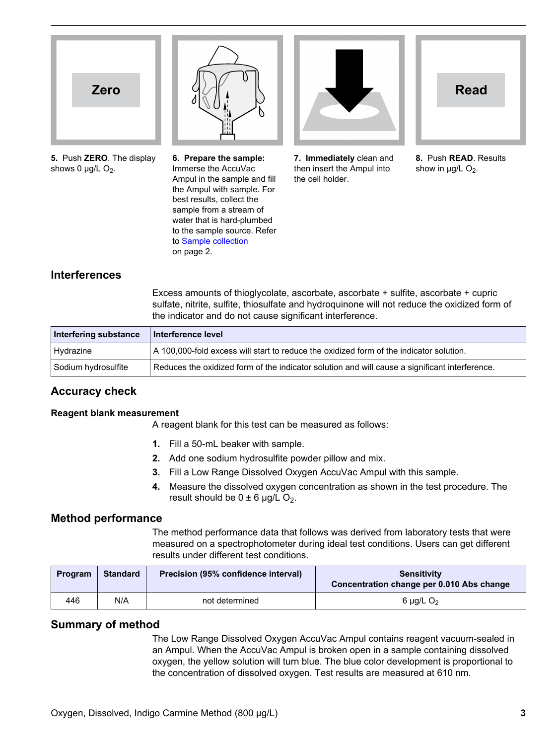



**5.** Push **ZERO**. The display shows 0  $\mu$ g/L O<sub>2</sub>.

**6. Prepare the sample:** Immerse the AccuVac Ampul in the sample and fill the Ampul with sample. For best results, collect the sample from a stream of water that is hard-plumbed to the sample source. Refer to [Sample collection](#page-1-0) on page 2.



**7. Immediately** clean and then insert the Ampul into the cell holder.



**8.** Push **READ**. Results show in  $\mu$ g/L O<sub>2</sub>.

## **Interferences**

Excess amounts of thioglycolate, ascorbate, ascorbate + sulfite, ascorbate + cupric sulfate, nitrite, sulfite, thiosulfate and hydroquinone will not reduce the oxidized form of the indicator and do not cause significant interference.

| Interfering substance | ∣ Interference level                                                                           |
|-----------------------|------------------------------------------------------------------------------------------------|
| Hydrazine             | A 100,000-fold excess will start to reduce the oxidized form of the indicator solution.        |
| Sodium hydrosulfite   | Reduces the oxidized form of the indicator solution and will cause a significant interference. |

## **Accuracy check**

#### **Reagent blank measurement**

A reagent blank for this test can be measured as follows:

- **1.** Fill a 50-mL beaker with sample.
- **2.** Add one sodium hydrosulfite powder pillow and mix.
- **3.** Fill a Low Range Dissolved Oxygen AccuVac Ampul with this sample.
- **4.** Measure the dissolved oxygen concentration as shown in the test procedure. The result should be  $0 \pm 6$  µg/L O<sub>2</sub>.

## **Method performance**

The method performance data that follows was derived from laboratory tests that were measured on a spectrophotometer during ideal test conditions. Users can get different results under different test conditions.

| Program | <b>Standard</b> | Precision (95% confidence interval) | <b>Sensitivity</b><br>Concentration change per 0.010 Abs change |
|---------|-----------------|-------------------------------------|-----------------------------------------------------------------|
| 446     | N/A             | not determined                      | 6 $\mu$ g/L O <sub>2</sub>                                      |

## **Summary of method**

The Low Range Dissolved Oxygen AccuVac Ampul contains reagent vacuum-sealed in an Ampul. When the AccuVac Ampul is broken open in a sample containing dissolved oxygen, the yellow solution will turn blue. The blue color development is proportional to the concentration of dissolved oxygen. Test results are measured at 610 nm.